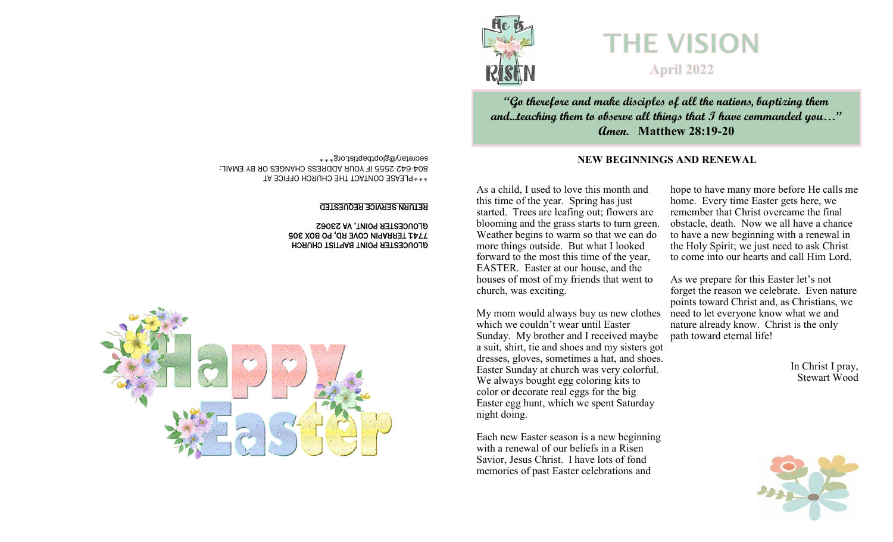

**"Go therefore and make disciples of all the nations, baptizing them and...teaching them to observe all things that I have commanded you…" Amen. Matthew 28:19-20**

## secretary@gloptbaptist.org\*\*\* **NEW BEGINNINGS AND RENEWAL**

As a child, I used to love this month and this time of the year. Spring has just started. Trees are leafing out; flowers are blooming and the grass starts to turn green. Weather begins to warm so that we can do more things outside. But what I looked forward to the most this time of the year, EASTER. Easter at our house, and the houses of most of my friends that went to church, was exciting.

My mom would always buy us new clothes which we couldn't wear until Easter Sunday. My brother and I received maybe a suit, shirt, tie and shoes and my sisters got dresses, gloves, sometimes a hat, and shoes. Easter Sunday at church was very colorful. We always bought egg coloring kits to color or decorate real eggs for the big Easter egg hunt, which we spent Saturday night doing.

Each new Easter season is a new beginning with a renewal of our beliefs in a Risen Savior, Jesus Christ. I have lots of fond memories of past Easter celebrations and

hope to have many more before He calls me home. Every time Easter gets here, we remember that Christ overcame the final obstacle, death. Now we all have a chance to have a new beginning with a renewal in the Holy Spirit; we just need to ask Christ to come into our hearts and call Him Lord.

As we prepare for this Easter let's not forget the reason we celebrate. Even nature points toward Christ and, as Christians, we need to let everyone know what we and nature already know. Christ is the only path toward eternal life!

> In Christ I pray, Stewart Wood



\*\*\*PLEASE CONTACT THE CHURCH OFFICE AT 2555 IF YOUR ADDRESS CHANGES OR BY EMAIL: - 642 - 804

#### RETURN SERVICE REQUESTED

 GLOUCESTER POINT BAPTIST CHURCH 7741 TERRAPIN COVE RD, PO BOX 305 GLOUCESTER POINT, VA 23062

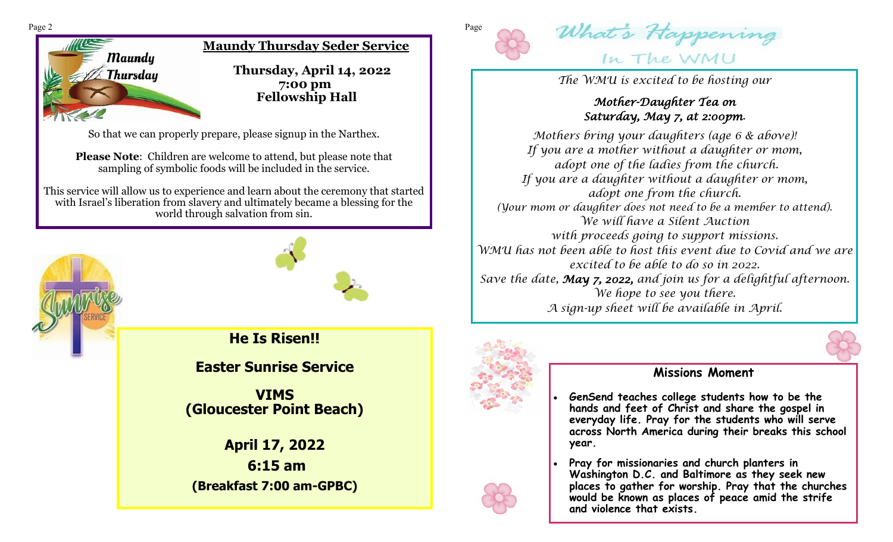

**Maundy Thursday Seder Service**

 **Thursday, April 14, 2022 7:00 pm Fellowship Hall**

So that we can properly prepare, please signup in the Narthex.

**Please Note**: Children are welcome to attend, but please note that sampling of symbolic foods will be included in the service.

This service will allow us to experience and learn about the ceremony that started with Israel's liberation from slavery and ultimately became a blessing for the world through salvation from sin.





**He Is Risen!!**

**Easter Sunrise Service** 

**VIMS (Gloucester Point Beach)**

**April 17, 2022 6:15 am (Breakfast 7:00 am-GPBC)**





*The WMU is excited to be hosting our*

# *Mother-Daughter Tea on Saturday, May 7, at 2:00pm.*

*Mothers bring your daughters (age 6 & above)! If you are a mother without a daughter or mom, adopt one of the ladies from the church. If you are a daughter without a daughter or mom, adopt one from the church. (Your mom or daughter does not need to be a member to attend). We will have a Silent Auction with proceeds going to support missions. WMU has not been able to host this event due to Covid and we are excited to be able to do so in 2022. Save the date, May 7, 2022, and join us for a delightful afternoon. We hope to see you there. A sign-up sheet will be available in April.* 



# **Missions Moment**

- **GenSend teaches college students how to be the hands and feet of Christ and share the gospel in everyday life. Pray for the students who will serve across North America during their breaks this school year.**
- **Pray for missionaries and church planters in Washington D.C. and Baltimore as they seek new places to gather for worship. Pray that the churches would be known as places of peace amid the strife and violence that exists.**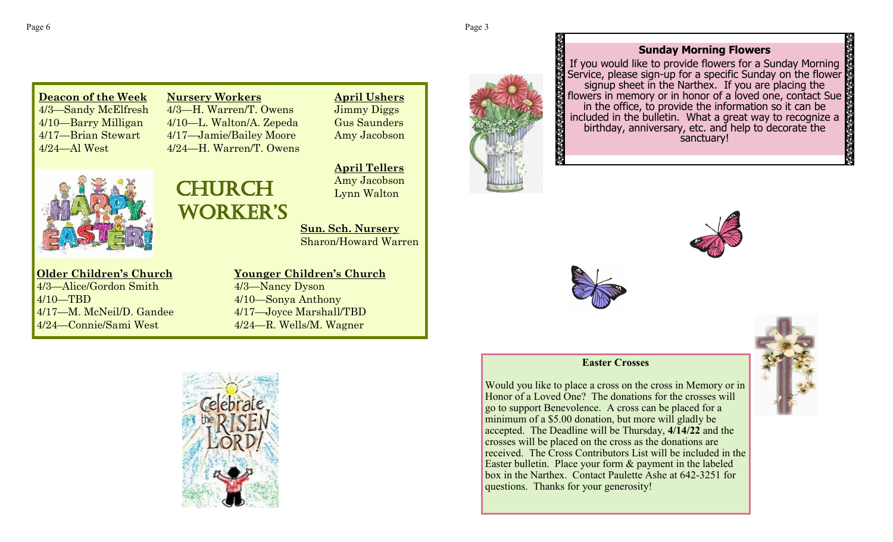## **Sunday Morning Flowers**

If you would like to provide flowers for a Sunday Morning Service, please sign-up for a specific Sunday on the flower signup sheet in the Narthex. If you are placing the flowers in memory or in honor of a loved one, contact Sue in the office, to provide the information so it can be included in the bulletin. What a great way to recognize a birthday, anniversary, etc. and help to decorate the sanctuary!



#### **Easter Crosses**

Would you like to place a cross on the cross in Memory or in Honor of a Loved One? The donations for the crosses will go to support Benevolence. A cross can be placed for a minimum of a \$5.00 donation, but more will gladly be accepted. The Deadline will be Thursday, **4/14/22** and the crosses will be placed on the cross as the donations are received. The Cross Contributors List will be included in the Easter bulletin. Place your form & payment in the labeled box in the Narthex. Contact Paulette Ashe at 642-3251 for questions. Thanks for your generosity!



**Nursery Workers** 4/3—H. Warren/T. Owens 4/10—L. Walton/A. Zepeda 4/17—Jamie/Bailey Moore 4/24—H. Warren/T. Owens



**Older Children's Church** 4/3—Alice/Gordon Smith 4/10—TBD 4/17—M. McNeil/D. Gandee 4/24—Connie/Sami West

# CHURCH **WORKER'S**

**April Tellers** Amy Jacobson Lynn Walton

**April Ushers** Jimmy Diggs Gus Saunders Amy Jacobson

**Sun. Sch. Nursery** Sharon/Howard Warren

**Younger Children's Church** 4/3—Nancy Dyson 4/10—Sonya Anthony 4/17—Joyce Marshall/TBD 4/24—R. Wells/M. Wagner